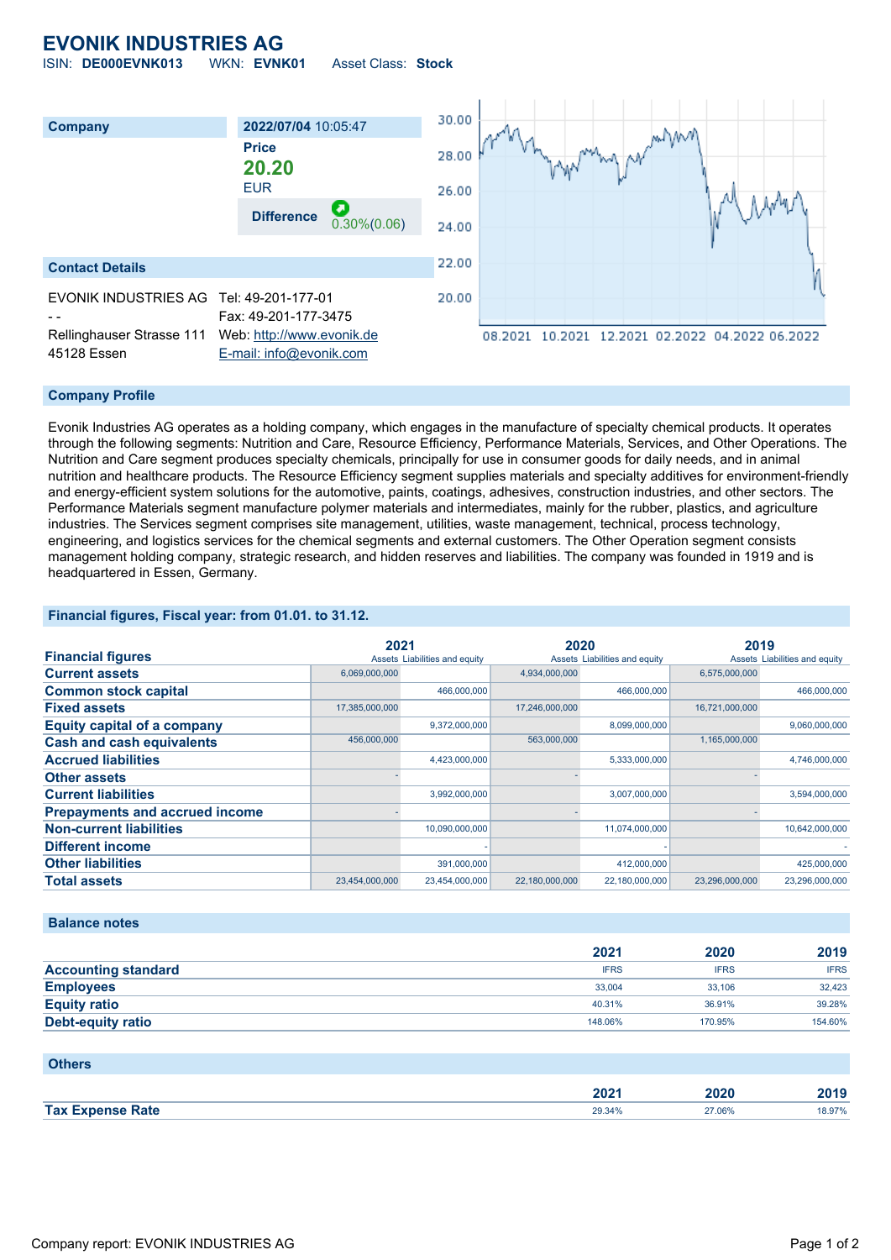## **EVONIK INDUSTRIES AG** ISIN: **DE000EVNK013** WKN: **EVNK01** Asset Class: **Stock**

30.00 **Company 2022/07/04** 10:05:47 **Price** 28.00 **20.20** EUR 26.00 **Difference** 0.30%(0.06) 24.00 22.00 **Contact Details** EVONIK INDUSTRIES AG Tel: 49-201-177-01 20.00 Fax: 49-201-177-3475 Rellinghauser Strasse 111 Web: [http://www.evonik.de](http://www.evonik.de/) 08.2021 10.2021 12.2021 02.2022 04.2022 06.2022 45128 Essen [E-mail: info@evonik.com](mailto:info@evonik.com)

### **Company Profile**

Evonik Industries AG operates as a holding company, which engages in the manufacture of specialty chemical products. It operates through the following segments: Nutrition and Care, Resource Efficiency, Performance Materials, Services, and Other Operations. The Nutrition and Care segment produces specialty chemicals, principally for use in consumer goods for daily needs, and in animal nutrition and healthcare products. The Resource Efficiency segment supplies materials and specialty additives for environment-friendly and energy-efficient system solutions for the automotive, paints, coatings, adhesives, construction industries, and other sectors. The Performance Materials segment manufacture polymer materials and intermediates, mainly for the rubber, plastics, and agriculture industries. The Services segment comprises site management, utilities, waste management, technical, process technology, engineering, and logistics services for the chemical segments and external customers. The Other Operation segment consists management holding company, strategic research, and hidden reserves and liabilities. The company was founded in 1919 and is headquartered in Essen, Germany.

#### **Financial figures, Fiscal year: from 01.01. to 31.12.**

|                                       | 2021           |                               | 2020           |                               | 2019           |                               |
|---------------------------------------|----------------|-------------------------------|----------------|-------------------------------|----------------|-------------------------------|
| <b>Financial figures</b>              |                | Assets Liabilities and equity |                | Assets Liabilities and equity |                | Assets Liabilities and equity |
| <b>Current assets</b>                 | 6,069,000,000  |                               | 4,934,000,000  |                               | 6,575,000,000  |                               |
| <b>Common stock capital</b>           |                | 466,000,000                   |                | 466,000,000                   |                | 466,000,000                   |
| <b>Fixed assets</b>                   | 17,385,000,000 |                               | 17,246,000,000 |                               | 16,721,000,000 |                               |
| <b>Equity capital of a company</b>    |                | 9,372,000,000                 |                | 8,099,000,000                 |                | 9,060,000,000                 |
| <b>Cash and cash equivalents</b>      | 456,000,000    |                               | 563,000,000    |                               | 1,165,000,000  |                               |
| <b>Accrued liabilities</b>            |                | 4,423,000,000                 |                | 5,333,000,000                 |                | 4,746,000,000                 |
| <b>Other assets</b>                   |                |                               |                |                               |                |                               |
| <b>Current liabilities</b>            |                | 3,992,000,000                 |                | 3,007,000,000                 |                | 3,594,000,000                 |
| <b>Prepayments and accrued income</b> |                |                               |                |                               |                |                               |
| <b>Non-current liabilities</b>        |                | 10,090,000,000                |                | 11,074,000,000                |                | 10,642,000,000                |
| <b>Different income</b>               |                |                               |                |                               |                |                               |
| <b>Other liabilities</b>              |                | 391,000,000                   |                | 412,000,000                   |                | 425,000,000                   |
| <b>Total assets</b>                   | 23,454,000,000 | 23,454,000,000                | 22,180,000,000 | 22,180,000,000                | 23,296,000,000 | 23,296,000,000                |

#### **Balance notes**

|                            | 2021        | 2020        | 2019        |
|----------------------------|-------------|-------------|-------------|
| <b>Accounting standard</b> | <b>IFRS</b> | <b>IFRS</b> | <b>IFRS</b> |
| <b>Employees</b>           | 33,004      | 33.106      | 32.423      |
| <b>Equity ratio</b>        | 40.31%      | 36.91%      | 39.28%      |
| <b>Debt-equity ratio</b>   | 148.06%     | 170.95%     | 154.60%     |

| <b>Others</b>           |        |        |        |
|-------------------------|--------|--------|--------|
|                         | 2021   | 2020   | 2019   |
| <b>Tax Expense Rate</b> | 29.34% | 27.06% | 18.97% |

#### Company report: EVONIK INDUSTRIES AG Page 1 of 2